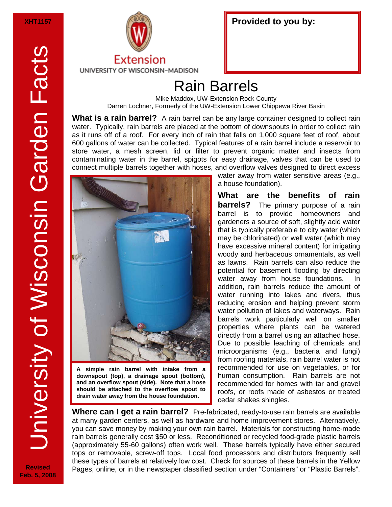**Revised Feb. 5, 2008**



| Provided to you by: |  |
|---------------------|--|
|---------------------|--|

## Rain Barrels

Mike Maddox, UW-Extension Rock County Darren Lochner, Formerly of the UW-Extension Lower Chippewa River Basin

**What is a rain barrel?** A rain barrel can be any large container designed to collect rain water. Typically, rain barrels are placed at the bottom of downspouts in order to collect rain as it runs off of a roof. For every inch of rain that falls on 1,000 square feet of roof, about 600 gallons of water can be collected. Typical features of a rain barrel include a reservoir to store water, a mesh screen, lid or filter to prevent organic matter and insects from contaminating water in the barrel, spigots for easy drainage, valves that can be used to connect multiple barrels together with hoses, and overflow valves designed to direct excess



**A simple rain barrel with intake from a downspout (top), a drainage spout (bottom), and an overflow spout (side). Note that a hose should be attached to the overflow spout to drain water away from the house foundation.** 

water away from water sensitive areas (e.g., a house foundation).

**What are the benefits of rain barrels?** The primary purpose of a rain barrel is to provide homeowners and gardeners a source of soft, slightly acid water that is typically preferable to city water (which may be chlorinated) or well water (which may have excessive mineral content) for irrigating woody and herbaceous ornamentals, as well as lawns. Rain barrels can also reduce the potential for basement flooding by directing water away from house foundations. addition, rain barrels reduce the amount of water running into lakes and rivers, thus reducing erosion and helping prevent storm water pollution of lakes and waterways. Rain barrels work particularly well on smaller properties where plants can be watered directly from a barrel using an attached hose. Due to possible leaching of chemicals and microorganisms (e.g., bacteria and fungi) from roofing materials, rain barrel water is not recommended for use on vegetables, or for human consumption. Rain barrels are not recommended for homes with tar and gravel roofs, or roofs made of asbestos or treated cedar shakes shingles.

**Where can I get a rain barrel?** Pre-fabricated, ready-to-use rain barrels are available at many garden centers, as well as hardware and home improvement stores. Alternatively, you can save money by making your own rain barrel. Materials for constructing home-made rain barrels generally cost \$50 or less. Reconditioned or recycled food-grade plastic barrels (approximately 55-60 gallons) often work well. These barrels typically have either secured tops or removable, screw-off tops. Local food processors and distributors frequently sell these types of barrels at relatively low cost. Check for sources of these barrels in the Yellow Pages, online, or in the newspaper classified section under "Containers" or "Plastic Barrels".